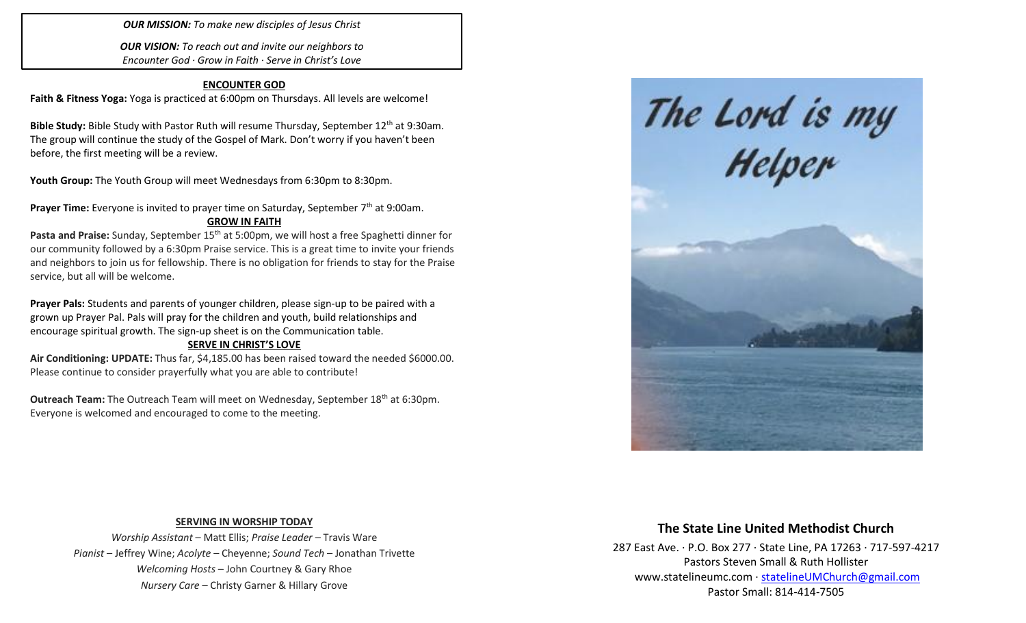*OUR MISSION: To make new disciples of Jesus Christ*

*OUR VISION: To reach out and invite our neighbors to Encounter God · Grow in Faith · Serve in Christ's Love*

#### **ENCOUNTER GOD**

**Faith & Fitness Yoga:** Yoga is practiced at 6:00pm on Thursdays. All levels are welcome!

Bible Study: Bible Study with Pastor Ruth will resume Thursday, September 12<sup>th</sup> at 9:30am. The group will continue the study of the Gospel of Mark. Don't worry if you haven't been before, the first meeting will be a review.

Youth Group: The Youth Group will meet Wednesdays from 6:30pm to 8:30pm.

Prayer Time: Everyone is invited to prayer time on Saturday, September 7<sup>th</sup> at 9:00am. **GROW IN FAITH**

Pasta and Praise: Sunday, September 15<sup>th</sup> at 5:00pm, we will host a free Spaghetti dinner for our community followed by a 6:30pm Praise service. This is a great time to invite your friends and neighbors to join us for fellowship. There is no obligation for friends to stay for the Praise service, but all will be welcome.

**Prayer Pals:** Students and parents of younger children, please sign-up to be paired with a grown up Prayer Pal. Pals will pray for the children and youth, build relationships and encourage spiritual growth. The sign-up sheet is on the Communication table.

#### **SERVE IN CHRIST'S LOVE**

**Air Conditioning: UPDATE:** Thus far, \$4,185.00 has been raised toward the needed \$6000.00. Please continue to consider prayerfully what you are able to contribute!

**Outreach Team:** The Outreach Team will meet on Wednesday, September 18<sup>th</sup> at 6:30pm. Everyone is welcomed and encouraged to come to the meeting.



### **SERVING IN WORSHIP TODAY**

*Worship Assistant* – Matt Ellis; *Praise Leader* – Travis Ware *Pianist* – Jeffrey Wine; *Acolyte* – Cheyenne; *Sound Tech* – Jonathan Trivette *Welcoming Hosts* – John Courtney & Gary Rhoe *Nursery Care* – Christy Garner & Hillary Grove

# **The State Line United Methodist Church**

287 East Ave. · P.O. Box 277 · State Line, PA 17263 · 717-597-4217 Pastors Steven Small & Ruth Hollister [www.statelineumc.com](http://www.statelineumc.com/) · [statelineUMChurch@gmail.com](mailto:statelineUMChurch@gmail.com) Pastor Small: 814-414-7505